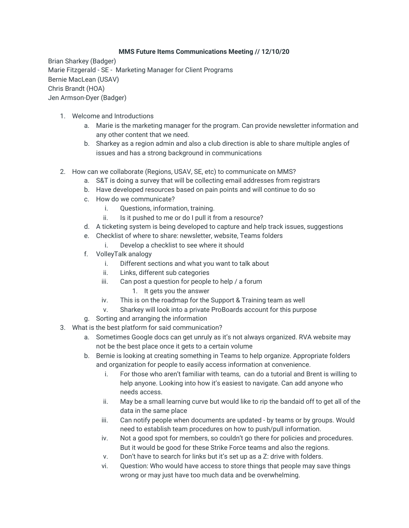## **MMS Future Items Communications Meeting // 12/10/20**

Brian Sharkey (Badger) Marie Fitzgerald - SE - Marketing Manager for Client Programs Bernie MacLean (USAV) Chris Brandt (HOA) Jen Armson-Dyer (Badger)

- 1. Welcome and Introductions
	- a. Marie is the marketing manager for the program. Can provide newsletter information and any other content that we need.
	- b. Sharkey as a region admin and also a club direction is able to share multiple angles of issues and has a strong background in communications
- 2. How can we collaborate (Regions, USAV, SE, etc) to communicate on MMS?
	- a. S&T is doing a survey that will be collecting email addresses from registrars
	- b. Have developed resources based on pain points and will continue to do so
	- c. How do we communicate?
		- i. Questions, information, training.
		- ii. Is it pushed to me or do I pull it from a resource?
	- d. A ticketing system is being developed to capture and help track issues, suggestions
	- e. Checklist of where to share: newsletter, website, Teams folders
		- i. Develop a checklist to see where it should
	- f. VolleyTalk analogy
		- i. Different sections and what you want to talk about
		- ii. Links, different sub categories
		- iii. Can post a question for people to help / a forum
			- 1. It gets you the answer
		- iv. This is on the roadmap for the Support & Training team as well
		- v. Sharkey will look into a private ProBoards account for this purpose
	- g. Sorting and arranging the information
- 3. What is the best platform for said communication?
	- a. Sometimes Google docs can get unruly as it's not always organized. RVA website may not be the best place once it gets to a certain volume
	- b. Bernie is looking at creating something in Teams to help organize. Appropriate folders and organization for people to easily access information at convenience.
		- i. For those who aren't familiar with teams, can do a tutorial and Brent is willing to help anyone. Looking into how it's easiest to navigate. Can add anyone who needs access.
		- ii. May be a small learning curve but would like to rip the bandaid off to get all of the data in the same place
		- iii. Can notify people when documents are updated by teams or by groups. Would need to establish team procedures on how to push/pull information.
		- iv. Not a good spot for members, so couldn't go there for policies and procedures. But it would be good for these Strike Force teams and also the regions.
		- v. Don't have to search for links but it's set up as a Z: drive with folders.
		- vi. Question: Who would have access to store things that people may save things wrong or may just have too much data and be overwhelming.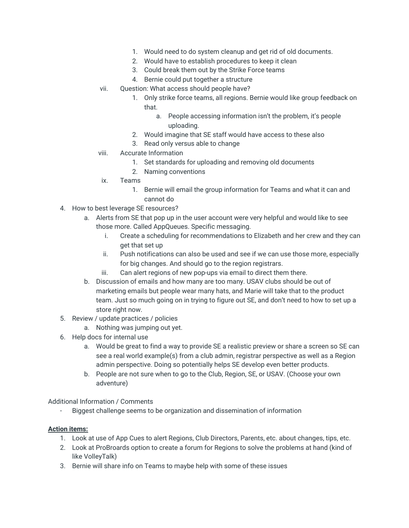- 1. Would need to do system cleanup and get rid of old documents.
- 2. Would have to establish procedures to keep it clean
- 3. Could break them out by the Strike Force teams
- 4. Bernie could put together a structure
- vii. Question: What access should people have?
	- 1. Only strike force teams, all regions. Bernie would like group feedback on that.
		- a. People accessing information isn't the problem, it's people uploading.
	- 2. Would imagine that SE staff would have access to these also
	- 3. Read only versus able to change
- viii. Accurate Information
	- 1. Set standards for uploading and removing old documents
	- 2. Naming conventions
- ix. Teams
	- 1. Bernie will email the group information for Teams and what it can and cannot do
- 4. How to best leverage SE resources?
	- a. Alerts from SE that pop up in the user account were very helpful and would like to see those more. Called AppQueues. Specific messaging.
		- i. Create a scheduling for recommendations to Elizabeth and her crew and they can get that set up
		- ii. Push notifications can also be used and see if we can use those more, especially for big changes. And should go to the region registrars.
		- iii. Can alert regions of new pop-ups via email to direct them there.
	- b. Discussion of emails and how many are too many. USAV clubs should be out of marketing emails but people wear many hats, and Marie will take that to the product team. Just so much going on in trying to figure out SE, and don't need to how to set up a store right now.
- 5. Review / update practices / policies
	- a. Nothing was jumping out yet.
- 6. Help docs for internal use
	- a. Would be great to find a way to provide SE a realistic preview or share a screen so SE can see a real world example(s) from a club admin, registrar perspective as well as a Region admin perspective. Doing so potentially helps SE develop even better products.
	- b. People are not sure when to go to the Club, Region, SE, or USAV. (Choose your own adventure)

## Additional Information / Comments

Biggest challenge seems to be organization and dissemination of information

## **Action items:**

- 1. Look at use of App Cues to alert Regions, Club Directors, Parents, etc. about changes, tips, etc.
- 2. Look at ProBroards option to create a forum for Regions to solve the problems at hand (kind of like VolleyTalk)
- 3. Bernie will share info on Teams to maybe help with some of these issues